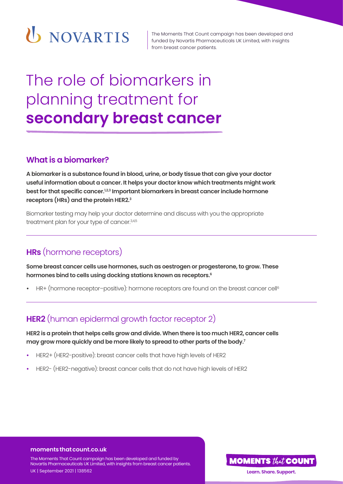

The Moments That Count campaign has been developed and funded by Novartis Pharmaceuticals UK Limited, with insights from breast cancer patients.

# The role of biomarkers in planning treatment for **secondary breast cancer**

### **What is a biomarker?**

**A biomarker is a substance found in blood, urine, or body tissue that can give your doctor useful information about a cancer. It helps your doctor know which treatments might work**  best for that specific cancer.<sup>1,2,3</sup> Important biomarkers in breast cancer include hormone **receptors (HRs) and the protein HER2.3**

Biomarker testing may help your doctor determine and discuss with you the appropriate treatment plan for your type of cancer.<sup>3,4,5</sup>

# **HRs** (hormone receptors)

**Some breast cancer cells use hormones, such as oestrogen or progesterone, to grow. These hormones bind to cells using docking stations known as receptors.6**

HR+ (hormone receptor-positive): hormone receptors are found on the breast cancer cell<sup>6</sup>

# **HER2** (human epidermal growth factor receptor 2)

**HER2 is a protein that helps cells grow and divide. When there is too much HER2, cancer cells may grow more quickly and be more likely to spread to other parts of the body.7** 

- **•** HER2+ (HER2-positive): breast cancer cells that have high levels of HER2
- **•** HER2- (HER2-negative): breast cancer cells that do not have high levels of HER2

#### **moments that count.co.uk**

The Moments That Count campaign has been developed and funded by Novartis Pharmaceuticals UK Limited, with insights from breast cancer patients. UK | September 2021 | 138562

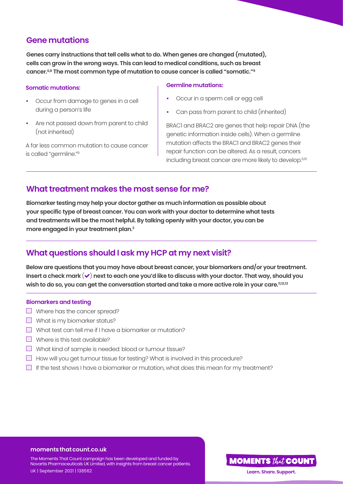## **Gene mutations**

**Genes carry instructions that tell cells what to do. When genes are changed (mutated), cells can grow in the wrong ways. This can lead to medical conditions, such as breast cancer.6,8 The most common type of mutation to cause cancer is called "somatic."9** 

#### **Somatic mutations:**

- **•** Occur from damage to genes in a cell during a person's life
- **•** Are not passed down from parent to child (not inherited)

A far less common mutation to cause cancer is called "germline."9

#### **Germline mutations:**

- **•** Occur in a sperm cell or egg cell
- **•** Can pass from parent to child (inherited)

BRAC1 and BRAC2 are genes that help repair DNA (the genetic information inside cells). When a germline mutation affects the BRAC1 and BRAC2 genes their repair function can be altered. As a result, cancers including breast cancer are more likely to develop.<sup>6,10</sup>

## **What treatment makes the most sense for me?**

**Biomarker testing may help your doctor gather as much information as possible about your specific type of breast cancer. You can work with your doctor to determine what tests and treatments will be the most helpful. By talking openly with your doctor, you can be more engaged in your treatment plan.3**

## **What questions should I ask my HCP at my next visit?**

**Below are questions that you may have about breast cancer, your biomarkers and/or your treatment.**  Insert a check mark  $(\checkmark)$  next to each one you'd like to discuss with your doctor. That way, should you **wish to do so, you can get the conversation started and take a more active role in your care.11,12,13**

#### **Biomarkers and testing**

- Where has the cancer spread?
- $\Box$  What is my biomarker status?
- $\Box$  What test can tell me if I have a biomarker or mutation?
- $\Box$  Where is this test available?
- What kind of sample is needed: blood or tumour tissue?
- $\Box$  How will you get tumour tissue for testing? What is involved in this procedure?
- $\Box$  If the test shows I have a biomarker or mutation, what does this mean for my treatment?

#### **moments that count.co.uk**

The Moments That Count campaign has been developed and funded by Novartis Pharmaceuticals UK Limited, with insights from breast cancer patients. UK | September 2021 | 138562